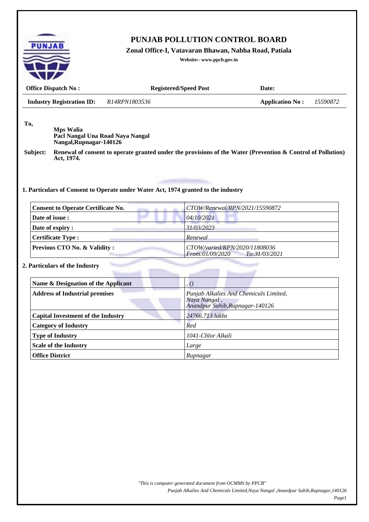| <b>Office Dispatch No:</b>                                                                                                          |                                  | <b>Registered/Speed Post</b>                                                                                | Date:                  |          |
|-------------------------------------------------------------------------------------------------------------------------------------|----------------------------------|-------------------------------------------------------------------------------------------------------------|------------------------|----------|
| <b>Industry Registration ID:</b>                                                                                                    | R14RPN1803536                    |                                                                                                             | <b>Application No:</b> | 15590872 |
| To,<br><b>Mps Walia</b><br>Nangal, Rupnagar-140126                                                                                  | Pacl Nangal Una Road Naya Nangal |                                                                                                             |                        |          |
| Subject:<br>Act, 1974.                                                                                                              |                                  | Renewal of consent to operate granted under the provisions of the Water (Prevention & Control of Pollution) |                        |          |
|                                                                                                                                     |                                  |                                                                                                             |                        |          |
|                                                                                                                                     |                                  |                                                                                                             |                        |          |
|                                                                                                                                     |                                  | 1. Particulars of Consent to Operate under Water Act, 1974 granted to the industry                          |                        |          |
| <b>Consent to Operate Certificate No.</b>                                                                                           |                                  | CTOW/Renewal/RPN/2021/15590872                                                                              |                        |          |
| Date of issue:                                                                                                                      |                                  | 04/10/2021                                                                                                  |                        |          |
| Date of expiry :                                                                                                                    |                                  | 31/03/2023                                                                                                  |                        |          |
|                                                                                                                                     |                                  |                                                                                                             |                        |          |
| <b>Certificate Type:</b>                                                                                                            |                                  | Renewal                                                                                                     |                        |          |
|                                                                                                                                     |                                  | CTOW/varied/RPN/2020/11808036                                                                               |                        |          |
| Previous CTO No. & Validity:                                                                                                        |                                  | From:01/09/2020                                                                                             | To:31/03/2021          |          |
| 2. Particulars of the Industry                                                                                                      |                                  |                                                                                                             |                        |          |
| Name & Designation of the Applicant                                                                                                 |                                  | , ()                                                                                                        |                        |          |
| <b>Address of Industrial premises</b>                                                                                               |                                  | Punjab Alkalies And Chemicals Limited,<br>Naya Nangal,                                                      |                        |          |
|                                                                                                                                     |                                  | Anandpur Sahib, Rupnagar-140126<br>24766.713 lakhs                                                          |                        |          |
|                                                                                                                                     |                                  | Red                                                                                                         |                        |          |
|                                                                                                                                     |                                  | 1041-Chlor Alkali                                                                                           |                        |          |
| <b>Capital Investment of the Industry</b><br><b>Category of Industry</b><br><b>Type of Industry</b><br><b>Scale of the Industry</b> |                                  | Large                                                                                                       |                        |          |

*"This is computer generated document from OCMMS by PPCB"* 

*Punjab Alkalies And Chemicals Limited,Naya Nangal ,Anandpur Sahib,Rupnagar,140126*

*Page1*